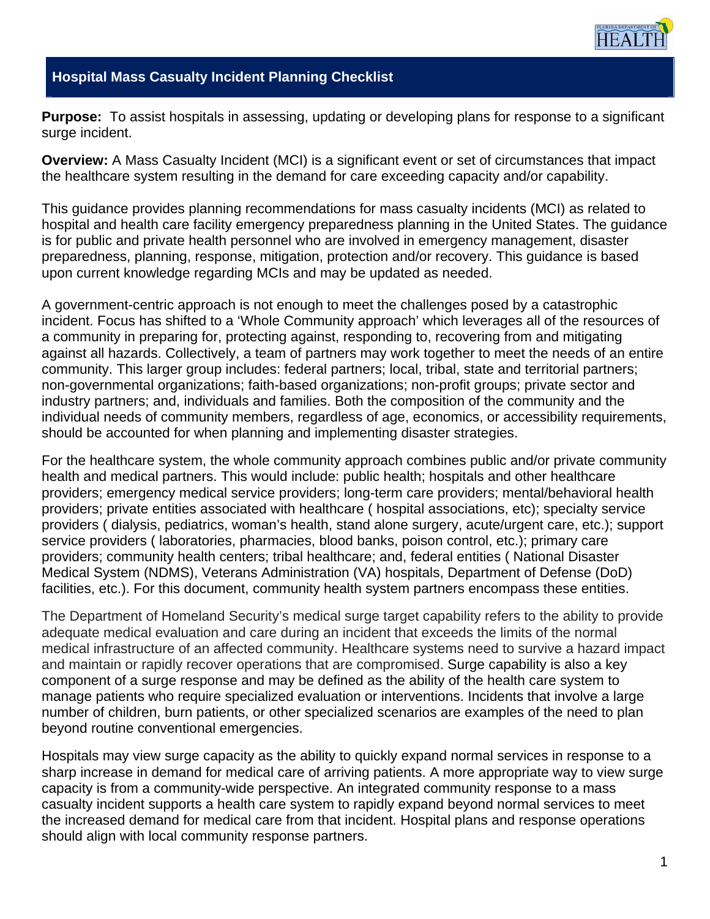

#### **Hospital Mass Casualty Incident Planning Checklist**

**Purpose:** To assist hospitals in assessing, updating or developing plans for response to a significant surge incident.

**Overview:** A Mass Casualty Incident (MCI) is a significant event or set of circumstances that impact the healthcare system resulting in the demand for care exceeding capacity and/or capability.

This guidance provides planning recommendations for mass casualty incidents (MCI) as related to hospital and health care facility emergency preparedness planning in the United States. The guidance is for public and private health personnel who are involved in emergency management, disaster preparedness, planning, response, mitigation, protection and/or recovery. This guidance is based upon current knowledge regarding MCIs and may be updated as needed.

A government-centric approach is not enough to meet the challenges posed by a catastrophic incident. Focus has shifted to a 'Whole Community approach' which leverages all of the resources of a community in preparing for, protecting against, responding to, recovering from and mitigating against all hazards. Collectively, a team of partners may work together to meet the needs of an entire community. This larger group includes: federal partners; local, tribal, state and territorial partners; non-governmental organizations; faith-based organizations; non-profit groups; private sector and industry partners; and, individuals and families. Both the composition of the community and the individual needs of community members, regardless of age, economics, or accessibility requirements, should be accounted for when planning and implementing disaster strategies.

For the healthcare system, the whole community approach combines public and/or private community health and medical partners. This would include: public health; hospitals and other healthcare providers; emergency medical service providers; long-term care providers; mental/behavioral health providers; private entities associated with healthcare ( hospital associations, etc); specialty service providers ( dialysis, pediatrics, woman's health, stand alone surgery, acute/urgent care, etc.); support service providers ( laboratories, pharmacies, blood banks, poison control, etc.); primary care providers; community health centers; tribal healthcare; and, federal entities ( National Disaster Medical System (NDMS), Veterans Administration (VA) hospitals, Department of Defense (DoD) facilities, etc.). For this document, community health system partners encompass these entities.

The Department of Homeland Security's medical surge target capability refers to the ability to provide adequate medical evaluation and care during an incident that exceeds the limits of the normal medical infrastructure of an affected community. Healthcare systems need to survive a hazard impact and maintain or rapidly recover operations that are compromised. Surge capability is also a key component of a surge response and may be defined as the ability of the health care system to manage patients who require specialized evaluation or interventions. Incidents that involve a large number of children, burn patients, or other specialized scenarios are examples of the need to plan beyond routine conventional emergencies.

Hospitals may view surge capacity as the ability to quickly expand normal services in response to a sharp increase in demand for medical care of arriving patients. A more appropriate way to view surge capacity is from a community-wide perspective. An integrated community response to a mass casualty incident supports a health care system to rapidly expand beyond normal services to meet the increased demand for medical care from that incident. Hospital plans and response operations should align with local community response partners.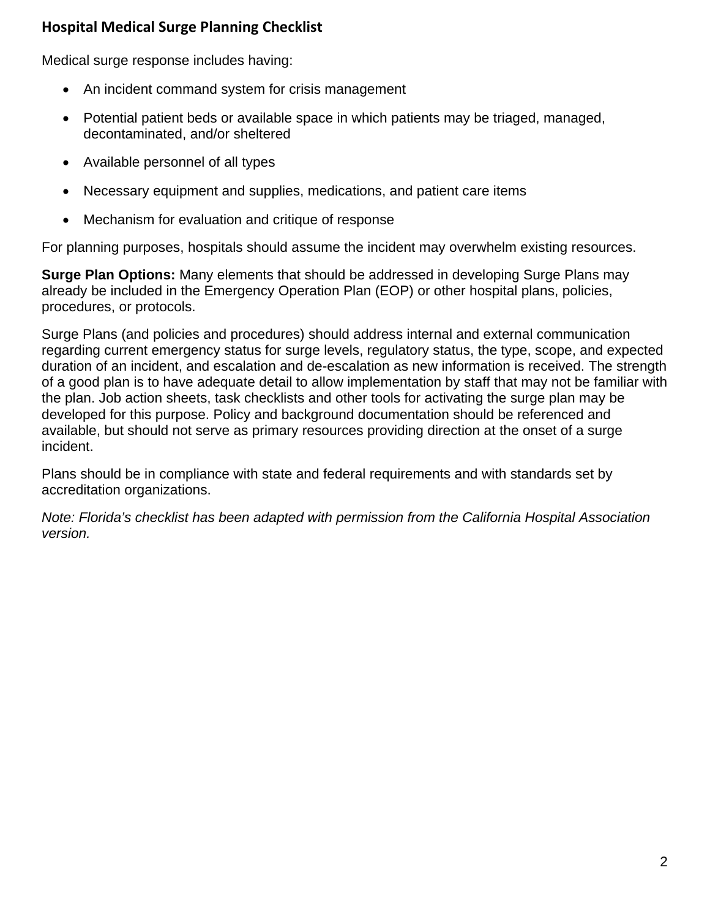Medical surge response includes having:

- An incident command system for crisis management
- Potential patient beds or available space in which patients may be triaged, managed, decontaminated, and/or sheltered
- Available personnel of all types
- Necessary equipment and supplies, medications, and patient care items
- Mechanism for evaluation and critique of response

For planning purposes, hospitals should assume the incident may overwhelm existing resources.

**Surge Plan Options:** Many elements that should be addressed in developing Surge Plans may already be included in the Emergency Operation Plan (EOP) or other hospital plans, policies, procedures, or protocols.

Surge Plans (and policies and procedures) should address internal and external communication regarding current emergency status for surge levels, regulatory status, the type, scope, and expected duration of an incident, and escalation and de-escalation as new information is received. The strength of a good plan is to have adequate detail to allow implementation by staff that may not be familiar with the plan. Job action sheets, task checklists and other tools for activating the surge plan may be developed for this purpose. Policy and background documentation should be referenced and available, but should not serve as primary resources providing direction at the onset of a surge incident.

Plans should be in compliance with state and federal requirements and with standards set by accreditation organizations.

*Note: Florida's checklist has been adapted with permission from the California Hospital Association version.*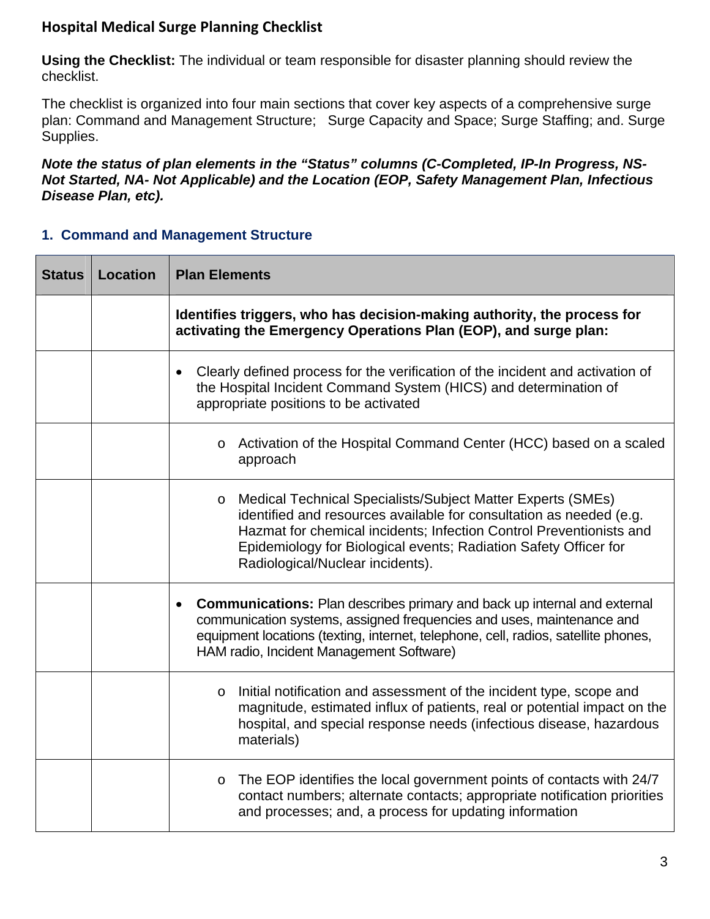**Using the Checklist:** The individual or team responsible for disaster planning should review the checklist.

The checklist is organized into four main sections that cover key aspects of a comprehensive surge plan: Command and Management Structure; Surge Capacity and Space; Surge Staffing; and. Surge Supplies.

*Note the status of plan elements in the "Status" columns (C-Completed, IP-In Progress, NS-Not Started, NA- Not Applicable) and the Location (EOP, Safety Management Plan, Infectious Disease Plan, etc).* 

#### **1. Command and Management Structure**

| <b>Status</b> | <b>Location</b> | <b>Plan Elements</b>                                                                                                                                                                                                                                                                                                         |  |
|---------------|-----------------|------------------------------------------------------------------------------------------------------------------------------------------------------------------------------------------------------------------------------------------------------------------------------------------------------------------------------|--|
|               |                 | Identifies triggers, who has decision-making authority, the process for<br>activating the Emergency Operations Plan (EOP), and surge plan:                                                                                                                                                                                   |  |
|               |                 | Clearly defined process for the verification of the incident and activation of<br>the Hospital Incident Command System (HICS) and determination of<br>appropriate positions to be activated                                                                                                                                  |  |
|               |                 | o Activation of the Hospital Command Center (HCC) based on a scaled<br>approach                                                                                                                                                                                                                                              |  |
|               |                 | Medical Technical Specialists/Subject Matter Experts (SMEs)<br>$\circ$<br>identified and resources available for consultation as needed (e.g.<br>Hazmat for chemical incidents; Infection Control Preventionists and<br>Epidemiology for Biological events; Radiation Safety Officer for<br>Radiological/Nuclear incidents). |  |
|               |                 | <b>Communications:</b> Plan describes primary and back up internal and external<br>$\bullet$<br>communication systems, assigned frequencies and uses, maintenance and<br>equipment locations (texting, internet, telephone, cell, radios, satellite phones,<br>HAM radio, Incident Management Software)                      |  |
|               |                 | Initial notification and assessment of the incident type, scope and<br>$\circ$<br>magnitude, estimated influx of patients, real or potential impact on the<br>hospital, and special response needs (infectious disease, hazardous<br>materials)                                                                              |  |
|               |                 | The EOP identifies the local government points of contacts with 24/7<br>$\circ$<br>contact numbers; alternate contacts; appropriate notification priorities<br>and processes; and, a process for updating information                                                                                                        |  |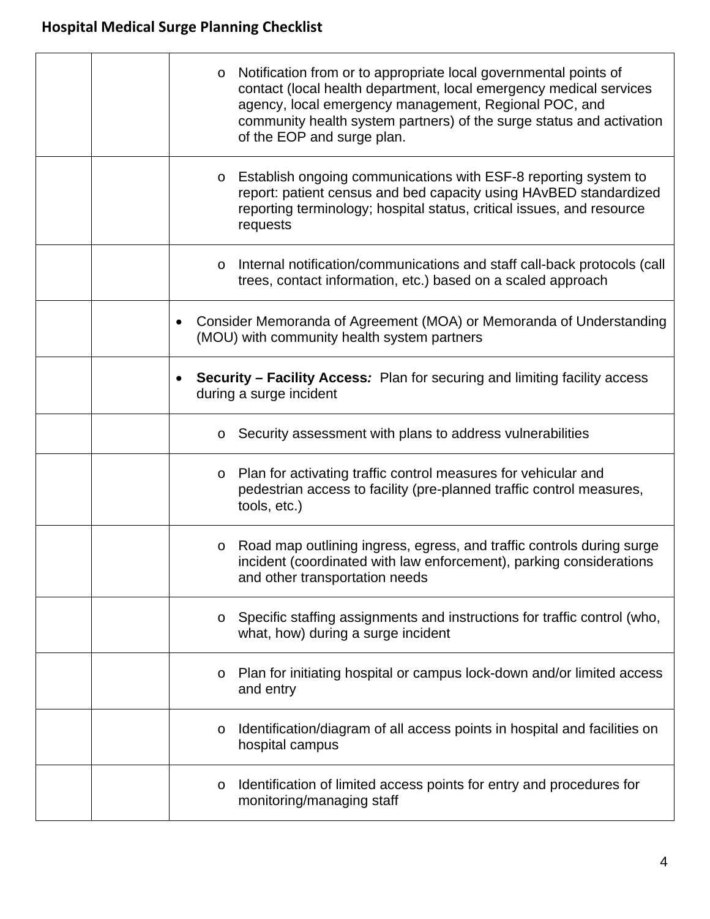| Notification from or to appropriate local governmental points of<br>$\circ$<br>contact (local health department, local emergency medical services<br>agency, local emergency management, Regional POC, and<br>community health system partners) of the surge status and activation<br>of the EOP and surge plan. |
|------------------------------------------------------------------------------------------------------------------------------------------------------------------------------------------------------------------------------------------------------------------------------------------------------------------|
| Establish ongoing communications with ESF-8 reporting system to<br>$\circ$<br>report: patient census and bed capacity using HAvBED standardized<br>reporting terminology; hospital status, critical issues, and resource<br>requests                                                                             |
| Internal notification/communications and staff call-back protocols (call<br>$\circ$<br>trees, contact information, etc.) based on a scaled approach                                                                                                                                                              |
| Consider Memoranda of Agreement (MOA) or Memoranda of Understanding<br>(MOU) with community health system partners                                                                                                                                                                                               |
| <b>Security – Facility Access:</b> Plan for securing and limiting facility access<br>during a surge incident                                                                                                                                                                                                     |
| $\circ$ Security assessment with plans to address vulnerabilities                                                                                                                                                                                                                                                |
| Plan for activating traffic control measures for vehicular and<br>$\circ$<br>pedestrian access to facility (pre-planned traffic control measures,<br>tools, etc.)                                                                                                                                                |
| Road map outlining ingress, egress, and traffic controls during surge<br>$\circ$<br>incident (coordinated with law enforcement), parking considerations<br>and other transportation needs                                                                                                                        |
| Specific staffing assignments and instructions for traffic control (who,<br>$\circ$<br>what, how) during a surge incident                                                                                                                                                                                        |
| Plan for initiating hospital or campus lock-down and/or limited access<br>O<br>and entry                                                                                                                                                                                                                         |
| Identification/diagram of all access points in hospital and facilities on<br>O<br>hospital campus                                                                                                                                                                                                                |
| Identification of limited access points for entry and procedures for<br>O<br>monitoring/managing staff                                                                                                                                                                                                           |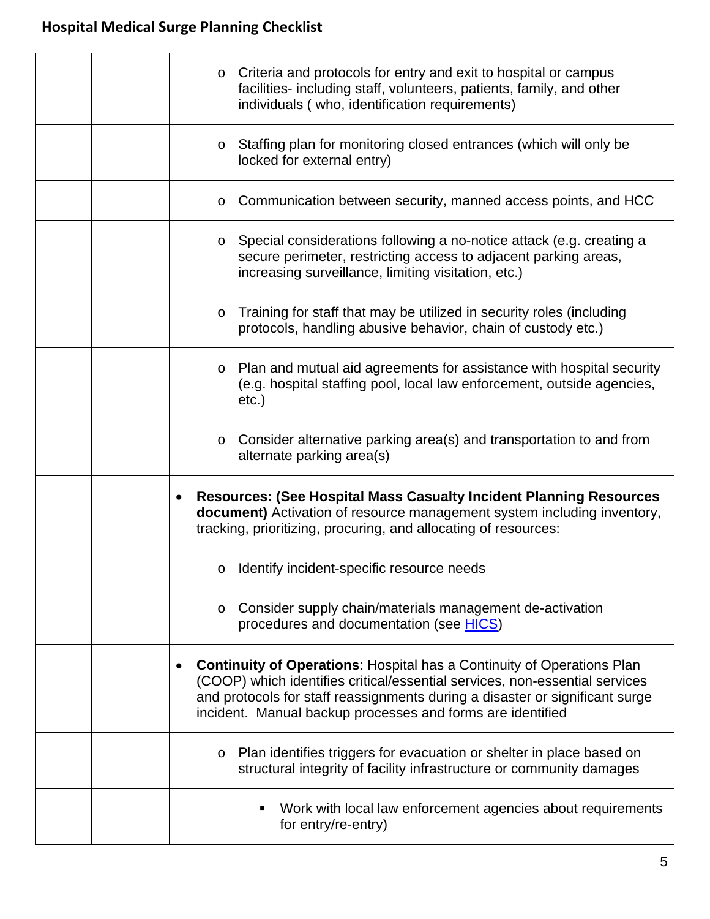|  | o Criteria and protocols for entry and exit to hospital or campus<br>facilities- including staff, volunteers, patients, family, and other<br>individuals (who, identification requirements)                                                                                                                |
|--|------------------------------------------------------------------------------------------------------------------------------------------------------------------------------------------------------------------------------------------------------------------------------------------------------------|
|  | Staffing plan for monitoring closed entrances (which will only be<br>$\circ$<br>locked for external entry)                                                                                                                                                                                                 |
|  | Communication between security, manned access points, and HCC<br>$\circ$                                                                                                                                                                                                                                   |
|  | Special considerations following a no-notice attack (e.g. creating a<br>$\circ$<br>secure perimeter, restricting access to adjacent parking areas,<br>increasing surveillance, limiting visitation, etc.)                                                                                                  |
|  | Training for staff that may be utilized in security roles (including<br>$\circ$<br>protocols, handling abusive behavior, chain of custody etc.)                                                                                                                                                            |
|  | Plan and mutual aid agreements for assistance with hospital security<br>$\circ$<br>(e.g. hospital staffing pool, local law enforcement, outside agencies,<br>$etc.$ )                                                                                                                                      |
|  | Consider alternative parking area(s) and transportation to and from<br>$\circ$<br>alternate parking area(s)                                                                                                                                                                                                |
|  | <b>Resources: (See Hospital Mass Casualty Incident Planning Resources)</b><br>$\bullet$<br>document) Activation of resource management system including inventory,<br>tracking, prioritizing, procuring, and allocating of resources:                                                                      |
|  | Identify incident-specific resource needs<br>$\circ$                                                                                                                                                                                                                                                       |
|  | Consider supply chain/materials management de-activation<br>$\circ$<br>procedures and documentation (see HICS)                                                                                                                                                                                             |
|  | <b>Continuity of Operations: Hospital has a Continuity of Operations Plan</b><br>(COOP) which identifies critical/essential services, non-essential services<br>and protocols for staff reassignments during a disaster or significant surge<br>incident. Manual backup processes and forms are identified |
|  | Plan identifies triggers for evacuation or shelter in place based on<br>$\circ$<br>structural integrity of facility infrastructure or community damages                                                                                                                                                    |
|  | Work with local law enforcement agencies about requirements<br>٠<br>for entry/re-entry)                                                                                                                                                                                                                    |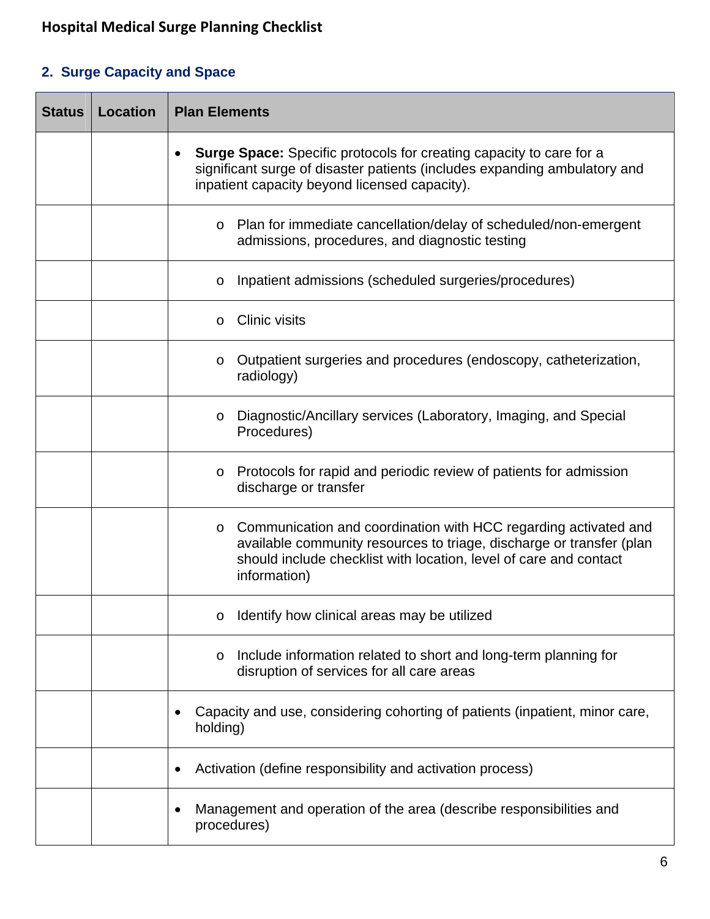### **2. Surge Capacity and Space**

| <b>Status</b> | <b>Location</b> | <b>Plan Elements</b>                                                                                                                                                                                                           |  |
|---------------|-----------------|--------------------------------------------------------------------------------------------------------------------------------------------------------------------------------------------------------------------------------|--|
|               |                 | <b>Surge Space:</b> Specific protocols for creating capacity to care for a<br>$\bullet$<br>significant surge of disaster patients (includes expanding ambulatory and<br>inpatient capacity beyond licensed capacity).          |  |
|               |                 | Plan for immediate cancellation/delay of scheduled/non-emergent<br>$\circ$<br>admissions, procedures, and diagnostic testing                                                                                                   |  |
|               |                 | Inpatient admissions (scheduled surgeries/procedures)<br>$\circ$                                                                                                                                                               |  |
|               |                 | <b>Clinic visits</b><br>$\circ$                                                                                                                                                                                                |  |
|               |                 | Outpatient surgeries and procedures (endoscopy, catheterization,<br>$\circ$<br>radiology)                                                                                                                                      |  |
|               |                 | Diagnostic/Ancillary services (Laboratory, Imaging, and Special<br>$\circ$<br>Procedures)                                                                                                                                      |  |
|               |                 | Protocols for rapid and periodic review of patients for admission<br>$\circ$<br>discharge or transfer                                                                                                                          |  |
|               |                 | o Communication and coordination with HCC regarding activated and<br>available community resources to triage, discharge or transfer (plan<br>should include checklist with location, level of care and contact<br>information) |  |
|               |                 | $\circ$ Identify how clinical areas may be utilized                                                                                                                                                                            |  |
|               |                 | Include information related to short and long-term planning for<br>$\circ$<br>disruption of services for all care areas                                                                                                        |  |
|               |                 | Capacity and use, considering cohorting of patients (inpatient, minor care,<br>٠<br>holding)                                                                                                                                   |  |
|               |                 | Activation (define responsibility and activation process)                                                                                                                                                                      |  |
|               |                 | Management and operation of the area (describe responsibilities and<br>$\bullet$<br>procedures)                                                                                                                                |  |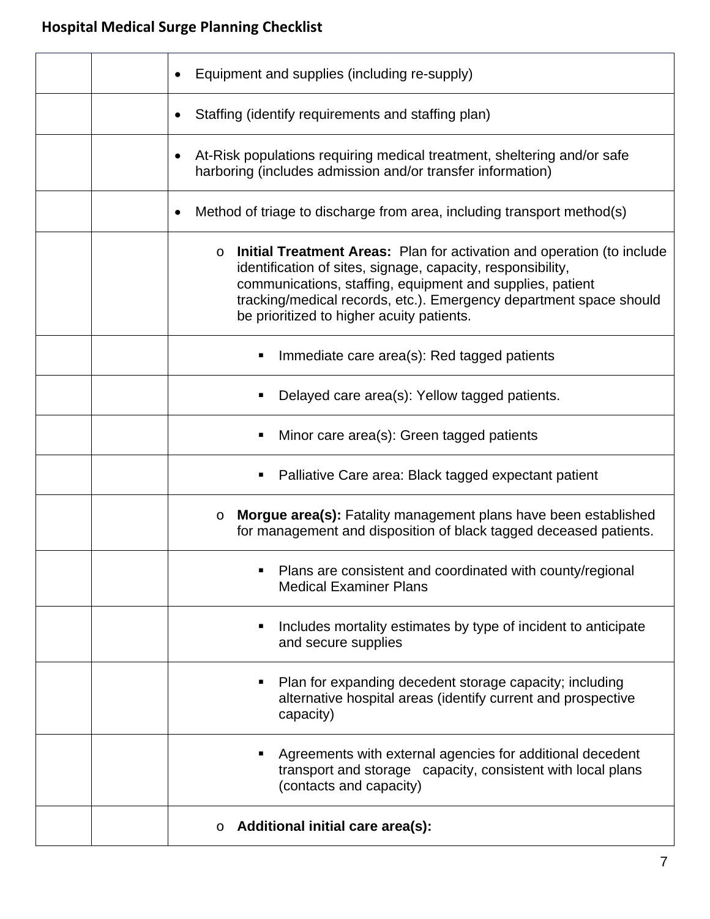|  | Equipment and supplies (including re-supply)                                                                                                                                                                                                                                                                                            |
|--|-----------------------------------------------------------------------------------------------------------------------------------------------------------------------------------------------------------------------------------------------------------------------------------------------------------------------------------------|
|  | Staffing (identify requirements and staffing plan)<br>$\bullet$                                                                                                                                                                                                                                                                         |
|  | At-Risk populations requiring medical treatment, sheltering and/or safe<br>$\bullet$<br>harboring (includes admission and/or transfer information)                                                                                                                                                                                      |
|  | Method of triage to discharge from area, including transport method(s)<br>$\bullet$                                                                                                                                                                                                                                                     |
|  | <b>Initial Treatment Areas:</b> Plan for activation and operation (to include<br>$\circ$<br>identification of sites, signage, capacity, responsibility,<br>communications, staffing, equipment and supplies, patient<br>tracking/medical records, etc.). Emergency department space should<br>be prioritized to higher acuity patients. |
|  | Immediate care area(s): Red tagged patients                                                                                                                                                                                                                                                                                             |
|  | Delayed care area(s): Yellow tagged patients.                                                                                                                                                                                                                                                                                           |
|  | Minor care area(s): Green tagged patients                                                                                                                                                                                                                                                                                               |
|  | Palliative Care area: Black tagged expectant patient<br>п                                                                                                                                                                                                                                                                               |
|  | <b>Morgue area(s):</b> Fatality management plans have been established<br>$\circ$<br>for management and disposition of black tagged deceased patients.                                                                                                                                                                                  |
|  | Plans are consistent and coordinated with county/regional<br><b>Medical Examiner Plans</b>                                                                                                                                                                                                                                              |
|  | Includes mortality estimates by type of incident to anticipate<br>٠<br>and secure supplies                                                                                                                                                                                                                                              |
|  | Plan for expanding decedent storage capacity; including<br>ш<br>alternative hospital areas (identify current and prospective<br>capacity)                                                                                                                                                                                               |
|  | Agreements with external agencies for additional decedent<br>transport and storage capacity, consistent with local plans<br>(contacts and capacity)                                                                                                                                                                                     |
|  | <b>Additional initial care area(s):</b>                                                                                                                                                                                                                                                                                                 |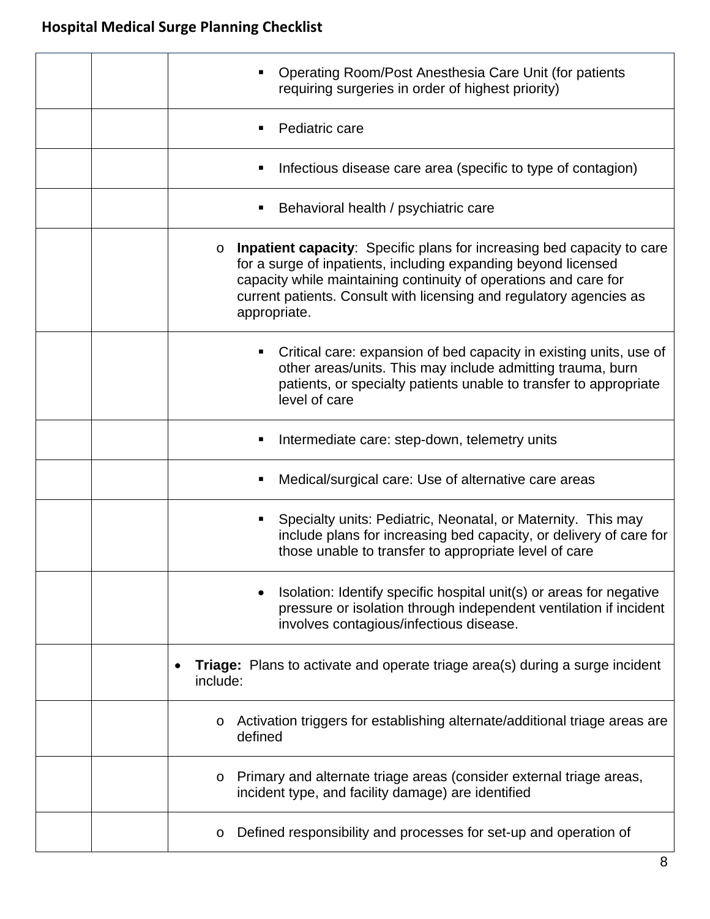| Operating Room/Post Anesthesia Care Unit (for patients<br>requiring surgeries in order of highest priority)                                                                                                                                                                                                    |
|----------------------------------------------------------------------------------------------------------------------------------------------------------------------------------------------------------------------------------------------------------------------------------------------------------------|
| Pediatric care                                                                                                                                                                                                                                                                                                 |
| Infectious disease care area (specific to type of contagion)<br>п                                                                                                                                                                                                                                              |
| Behavioral health / psychiatric care<br>п                                                                                                                                                                                                                                                                      |
| Inpatient capacity: Specific plans for increasing bed capacity to care<br>$\circ$<br>for a surge of inpatients, including expanding beyond licensed<br>capacity while maintaining continuity of operations and care for<br>current patients. Consult with licensing and regulatory agencies as<br>appropriate. |
| Critical care: expansion of bed capacity in existing units, use of<br>other areas/units. This may include admitting trauma, burn<br>patients, or specialty patients unable to transfer to appropriate<br>level of care                                                                                         |
| Intermediate care: step-down, telemetry units                                                                                                                                                                                                                                                                  |
| Medical/surgical care: Use of alternative care areas<br>п                                                                                                                                                                                                                                                      |
| Specialty units: Pediatric, Neonatal, or Maternity. This may<br>include plans for increasing bed capacity, or delivery of care for<br>those unable to transfer to appropriate level of care                                                                                                                    |
| Isolation: Identify specific hospital unit(s) or areas for negative<br>pressure or isolation through independent ventilation if incident<br>involves contagious/infectious disease.                                                                                                                            |
| <b>Triage:</b> Plans to activate and operate triage area(s) during a surge incident<br>٠<br>include:                                                                                                                                                                                                           |
| Activation triggers for establishing alternate/additional triage areas are<br>O<br>defined                                                                                                                                                                                                                     |
| Primary and alternate triage areas (consider external triage areas,<br>$\circ$<br>incident type, and facility damage) are identified                                                                                                                                                                           |
| Defined responsibility and processes for set-up and operation of<br>O                                                                                                                                                                                                                                          |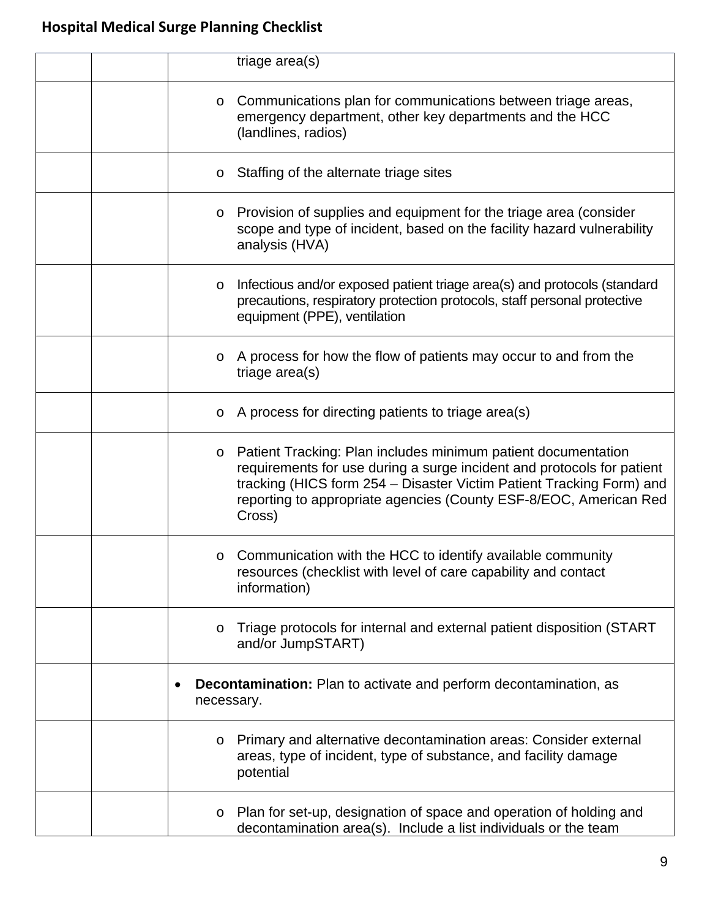| triage area(s)                                                                                                                                                                                                                                                                                            |
|-----------------------------------------------------------------------------------------------------------------------------------------------------------------------------------------------------------------------------------------------------------------------------------------------------------|
| Communications plan for communications between triage areas,<br>$\circ$<br>emergency department, other key departments and the HCC<br>(landlines, radios)                                                                                                                                                 |
| Staffing of the alternate triage sites<br>$\circ$                                                                                                                                                                                                                                                         |
| Provision of supplies and equipment for the triage area (consider<br>$\circ$<br>scope and type of incident, based on the facility hazard vulnerability<br>analysis (HVA)                                                                                                                                  |
| Infectious and/or exposed patient triage area(s) and protocols (standard<br>$\circ$<br>precautions, respiratory protection protocols, staff personal protective<br>equipment (PPE), ventilation                                                                                                           |
| A process for how the flow of patients may occur to and from the<br>$\circ$<br>triage area(s)                                                                                                                                                                                                             |
| $\circ$ A process for directing patients to triage area(s)                                                                                                                                                                                                                                                |
| Patient Tracking: Plan includes minimum patient documentation<br>$\circ$<br>requirements for use during a surge incident and protocols for patient<br>tracking (HICS form 254 - Disaster Victim Patient Tracking Form) and<br>reporting to appropriate agencies (County ESF-8/EOC, American Red<br>Cross) |
| $\circ$ Communication with the HCC to identify available community<br>resources (checklist with level of care capability and contact<br>information)                                                                                                                                                      |
| Triage protocols for internal and external patient disposition (START<br>$\circ$<br>and/or JumpSTART)                                                                                                                                                                                                     |
| <b>Decontamination:</b> Plan to activate and perform decontamination, as<br>٠<br>necessary.                                                                                                                                                                                                               |
| Primary and alternative decontamination areas: Consider external<br>$\circ$<br>areas, type of incident, type of substance, and facility damage<br>potential                                                                                                                                               |
| Plan for set-up, designation of space and operation of holding and<br>$\circ$<br>decontamination area(s). Include a list individuals or the team                                                                                                                                                          |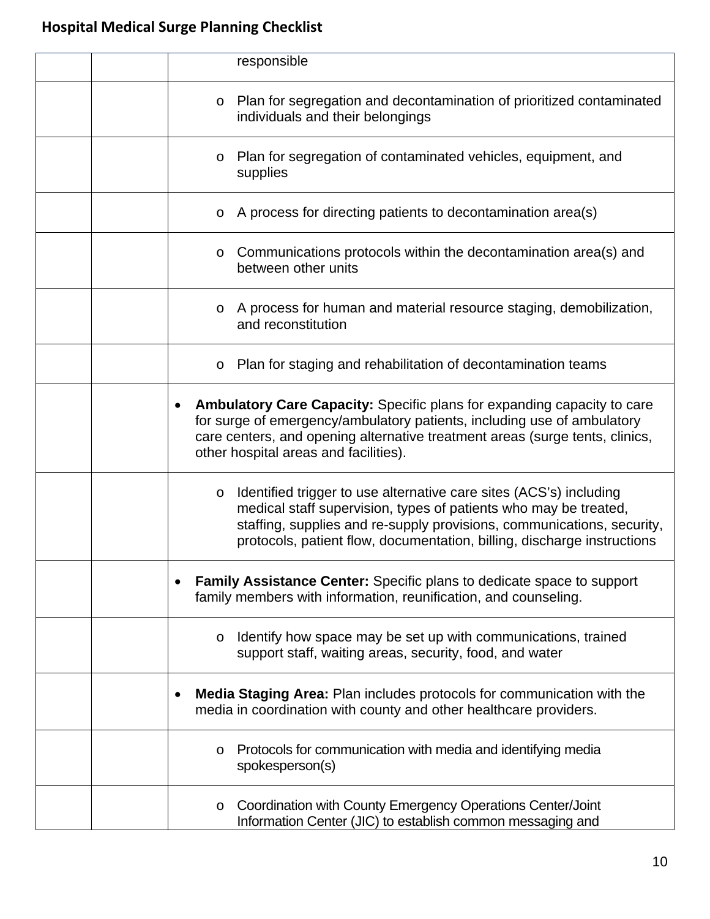| responsible                                                                                                                                                                                                                                                                                            |
|--------------------------------------------------------------------------------------------------------------------------------------------------------------------------------------------------------------------------------------------------------------------------------------------------------|
| Plan for segregation and decontamination of prioritized contaminated<br>$\circ$<br>individuals and their belongings                                                                                                                                                                                    |
| Plan for segregation of contaminated vehicles, equipment, and<br>$\circ$<br>supplies                                                                                                                                                                                                                   |
| $\circ$ A process for directing patients to decontamination area(s)                                                                                                                                                                                                                                    |
| $\circ$ Communications protocols within the decontamination area(s) and<br>between other units                                                                                                                                                                                                         |
| o A process for human and material resource staging, demobilization,<br>and reconstitution                                                                                                                                                                                                             |
| Plan for staging and rehabilitation of decontamination teams<br>$\circ$                                                                                                                                                                                                                                |
| <b>Ambulatory Care Capacity:</b> Specific plans for expanding capacity to care<br>٠<br>for surge of emergency/ambulatory patients, including use of ambulatory<br>care centers, and opening alternative treatment areas (surge tents, clinics,<br>other hospital areas and facilities).                |
| Identified trigger to use alternative care sites (ACS's) including<br>$\circ$<br>medical staff supervision, types of patients who may be treated,<br>staffing, supplies and re-supply provisions, communications, security,<br>protocols, patient flow, documentation, billing, discharge instructions |
| <b>Family Assistance Center:</b> Specific plans to dedicate space to support<br>$\bullet$<br>family members with information, reunification, and counseling.                                                                                                                                           |
| Identify how space may be set up with communications, trained<br>$\circ$<br>support staff, waiting areas, security, food, and water                                                                                                                                                                    |
| <b>Media Staging Area: Plan includes protocols for communication with the</b><br>٠<br>media in coordination with county and other healthcare providers.                                                                                                                                                |
| Protocols for communication with media and identifying media<br>$\circ$<br>spokesperson(s)                                                                                                                                                                                                             |
| Coordination with County Emergency Operations Center/Joint<br>$\circ$<br>Information Center (JIC) to establish common messaging and                                                                                                                                                                    |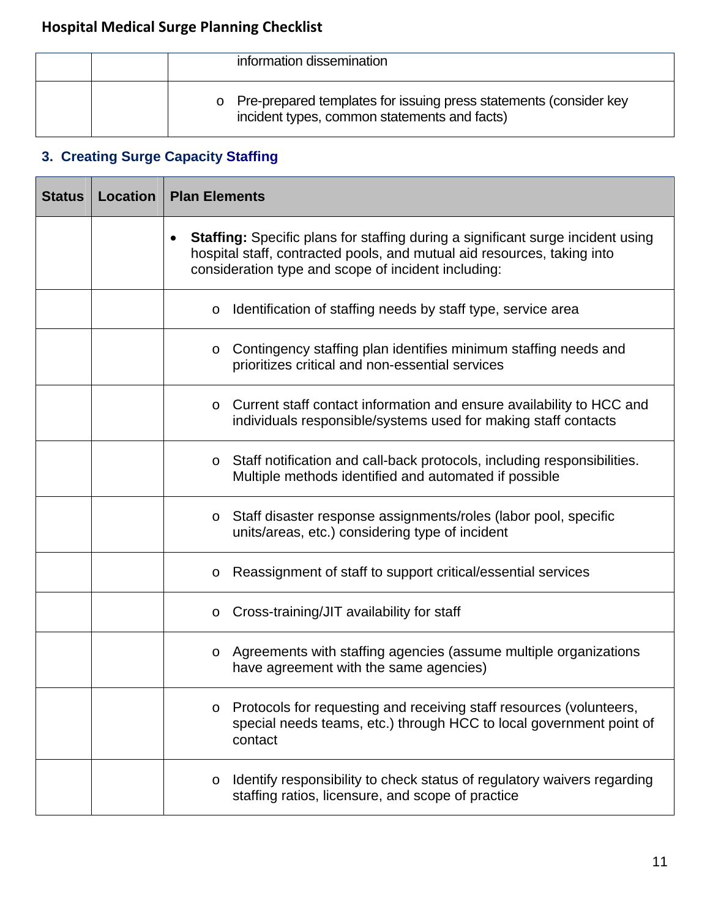|  | information dissemination                                                                                           |
|--|---------------------------------------------------------------------------------------------------------------------|
|  | o Pre-prepared templates for issuing press statements (consider key<br>incident types, common statements and facts) |

### **3. Creating Surge Capacity Staffing**

| <b>Status</b> | <b>Location</b> | <b>Plan Elements</b>                                                                                                                                                                                                     |  |
|---------------|-----------------|--------------------------------------------------------------------------------------------------------------------------------------------------------------------------------------------------------------------------|--|
|               |                 | <b>Staffing:</b> Specific plans for staffing during a significant surge incident using<br>hospital staff, contracted pools, and mutual aid resources, taking into<br>consideration type and scope of incident including: |  |
|               |                 | Identification of staffing needs by staff type, service area<br>$\circ$                                                                                                                                                  |  |
|               |                 | Contingency staffing plan identifies minimum staffing needs and<br>$\circ$<br>prioritizes critical and non-essential services                                                                                            |  |
|               |                 | Current staff contact information and ensure availability to HCC and<br>$\circ$<br>individuals responsible/systems used for making staff contacts                                                                        |  |
|               |                 | Staff notification and call-back protocols, including responsibilities.<br>$\circ$<br>Multiple methods identified and automated if possible                                                                              |  |
|               |                 | Staff disaster response assignments/roles (labor pool, specific<br>$\circ$<br>units/areas, etc.) considering type of incident                                                                                            |  |
|               |                 | Reassignment of staff to support critical/essential services<br>$\circ$                                                                                                                                                  |  |
|               |                 | Cross-training/JIT availability for staff<br>$\circ$                                                                                                                                                                     |  |
|               |                 | o Agreements with staffing agencies (assume multiple organizations<br>have agreement with the same agencies)                                                                                                             |  |
|               |                 | Protocols for requesting and receiving staff resources (volunteers,<br>$\circ$<br>special needs teams, etc.) through HCC to local government point of<br>contact                                                         |  |
|               |                 | Identify responsibility to check status of regulatory waivers regarding<br>$\circ$<br>staffing ratios, licensure, and scope of practice                                                                                  |  |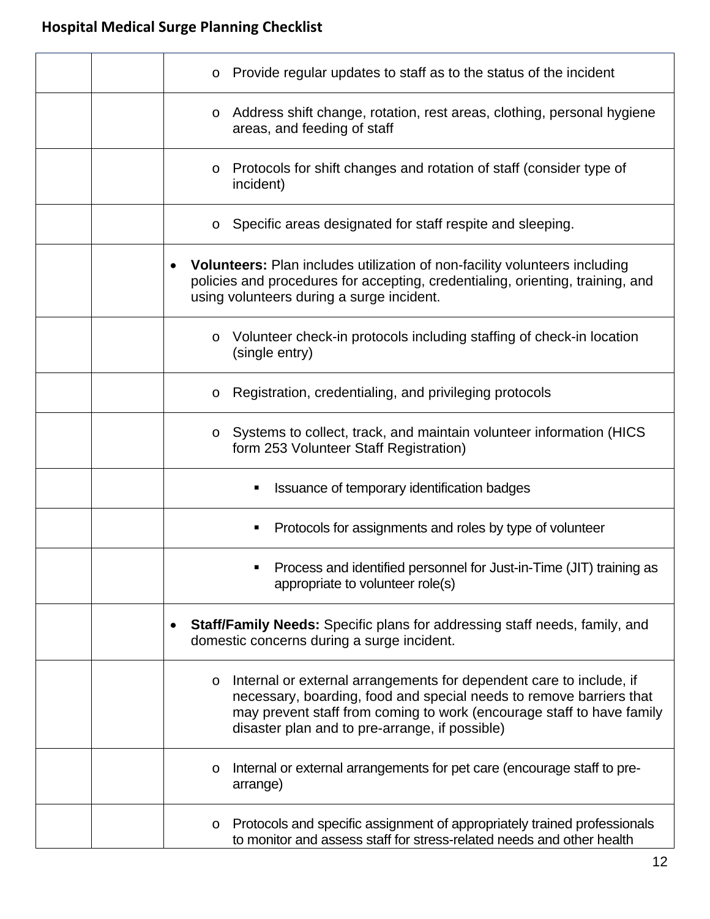|           | Provide regular updates to staff as to the status of the incident<br>$\circ$                                                                                                                                                                                                     |
|-----------|----------------------------------------------------------------------------------------------------------------------------------------------------------------------------------------------------------------------------------------------------------------------------------|
|           | Address shift change, rotation, rest areas, clothing, personal hygiene<br>$\circ$<br>areas, and feeding of staff                                                                                                                                                                 |
|           | Protocols for shift changes and rotation of staff (consider type of<br>$\circ$<br>incident)                                                                                                                                                                                      |
|           | Specific areas designated for staff respite and sleeping.<br>O                                                                                                                                                                                                                   |
|           | <b>Volunteers:</b> Plan includes utilization of non-facility volunteers including<br>policies and procedures for accepting, credentialing, orienting, training, and<br>using volunteers during a surge incident.                                                                 |
|           | Volunteer check-in protocols including staffing of check-in location<br>$\circ$<br>(single entry)                                                                                                                                                                                |
|           | Registration, credentialing, and privileging protocols<br>O                                                                                                                                                                                                                      |
|           | Systems to collect, track, and maintain volunteer information (HICS<br>$\circ$<br>form 253 Volunteer Staff Registration)                                                                                                                                                         |
|           | Issuance of temporary identification badges                                                                                                                                                                                                                                      |
|           | Protocols for assignments and roles by type of volunteer                                                                                                                                                                                                                         |
|           | Process and identified personnel for Just-in-Time (JIT) training as<br>appropriate to volunteer role(s)                                                                                                                                                                          |
| $\bullet$ | <b>Staff/Family Needs:</b> Specific plans for addressing staff needs, family, and<br>domestic concerns during a surge incident.                                                                                                                                                  |
|           | Internal or external arrangements for dependent care to include, if<br>$\circ$<br>necessary, boarding, food and special needs to remove barriers that<br>may prevent staff from coming to work (encourage staff to have family<br>disaster plan and to pre-arrange, if possible) |
|           | Internal or external arrangements for pet care (encourage staff to pre-<br>O<br>arrange)                                                                                                                                                                                         |
|           | Protocols and specific assignment of appropriately trained professionals<br>O<br>to monitor and assess staff for stress-related needs and other health                                                                                                                           |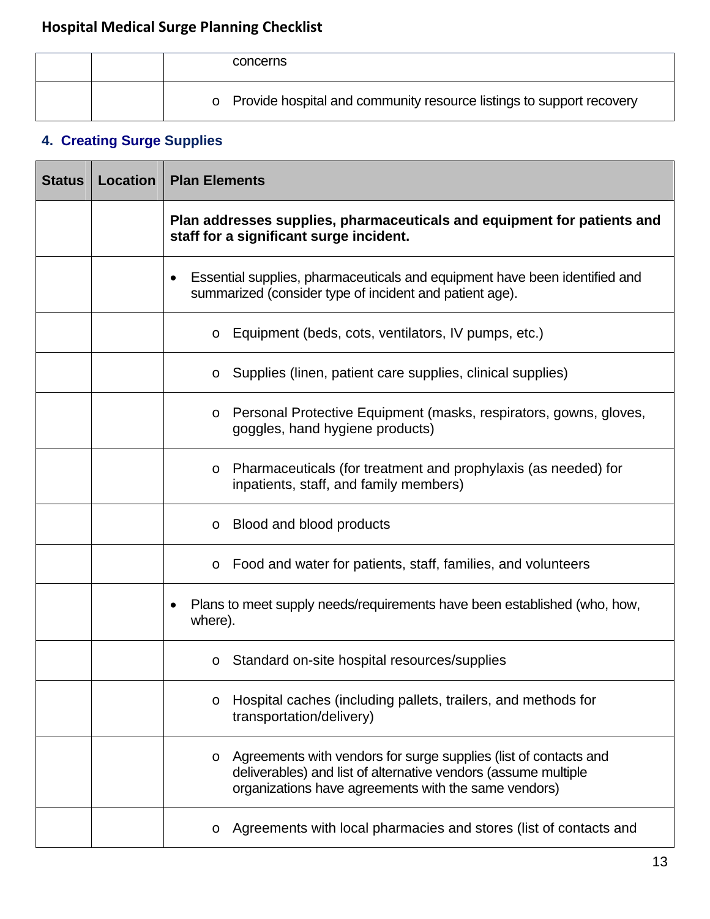|  | concerns                                                               |
|--|------------------------------------------------------------------------|
|  | o Provide hospital and community resource listings to support recovery |

## **4. Creating Surge Supplies**

| <b>Status</b> | <b>Location</b> | <b>Plan Elements</b>                                                                                                                                                                                  |
|---------------|-----------------|-------------------------------------------------------------------------------------------------------------------------------------------------------------------------------------------------------|
|               |                 | Plan addresses supplies, pharmaceuticals and equipment for patients and<br>staff for a significant surge incident.                                                                                    |
|               |                 | Essential supplies, pharmaceuticals and equipment have been identified and<br>٠<br>summarized (consider type of incident and patient age).                                                            |
|               |                 | Equipment (beds, cots, ventilators, IV pumps, etc.)<br>$\circ$                                                                                                                                        |
|               |                 | Supplies (linen, patient care supplies, clinical supplies)<br>$\circ$                                                                                                                                 |
|               |                 | Personal Protective Equipment (masks, respirators, gowns, gloves,<br>$\circ$<br>goggles, hand hygiene products)                                                                                       |
|               |                 | Pharmaceuticals (for treatment and prophylaxis (as needed) for<br>$\circ$<br>inpatients, staff, and family members)                                                                                   |
|               |                 | Blood and blood products<br>$\circ$                                                                                                                                                                   |
|               |                 | Food and water for patients, staff, families, and volunteers<br>$\circ$                                                                                                                               |
|               |                 | Plans to meet supply needs/requirements have been established (who, how,<br>where).                                                                                                                   |
|               |                 | Standard on-site hospital resources/supplies<br>$\circ$                                                                                                                                               |
|               |                 | Hospital caches (including pallets, trailers, and methods for<br>transportation/delivery)                                                                                                             |
|               |                 | Agreements with vendors for surge supplies (list of contacts and<br>$\circ$<br>deliverables) and list of alternative vendors (assume multiple<br>organizations have agreements with the same vendors) |
|               |                 | Agreements with local pharmacies and stores (list of contacts and<br>$\circ$                                                                                                                          |